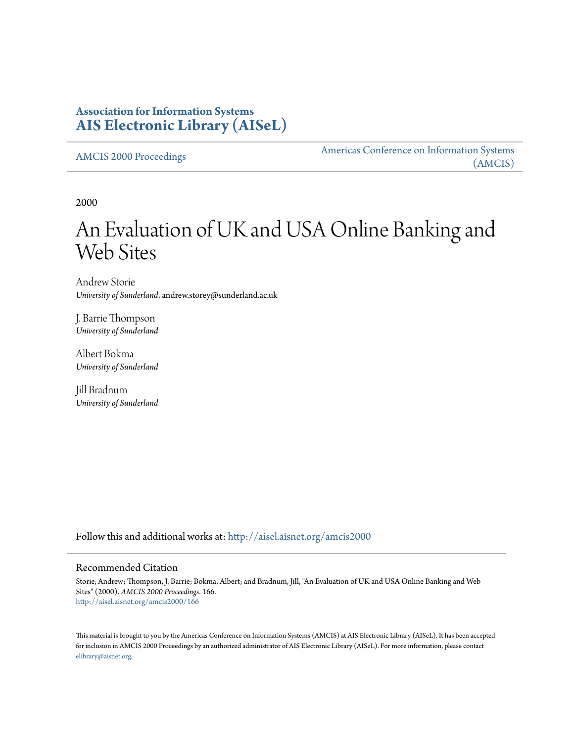# **Association for Information Systems [AIS Electronic Library \(AISeL\)](http://aisel.aisnet.org?utm_source=aisel.aisnet.org%2Famcis2000%2F166&utm_medium=PDF&utm_campaign=PDFCoverPages)**

[AMCIS 2000 Proceedings](http://aisel.aisnet.org/amcis2000?utm_source=aisel.aisnet.org%2Famcis2000%2F166&utm_medium=PDF&utm_campaign=PDFCoverPages)

[Americas Conference on Information Systems](http://aisel.aisnet.org/amcis?utm_source=aisel.aisnet.org%2Famcis2000%2F166&utm_medium=PDF&utm_campaign=PDFCoverPages) [\(AMCIS\)](http://aisel.aisnet.org/amcis?utm_source=aisel.aisnet.org%2Famcis2000%2F166&utm_medium=PDF&utm_campaign=PDFCoverPages)

2000

# An Evaluation of UK and USA Online Banking and Web Sites

Andrew Storie *University of Sunderland*, andrew.storey@sunderland.ac.uk

J. Barrie Thompson *University of Sunderland*

Albert Bokma *University of Sunderland*

Jill Bradnum *University of Sunderland*

Follow this and additional works at: [http://aisel.aisnet.org/amcis2000](http://aisel.aisnet.org/amcis2000?utm_source=aisel.aisnet.org%2Famcis2000%2F166&utm_medium=PDF&utm_campaign=PDFCoverPages)

#### Recommended Citation

Storie, Andrew; Thompson, J. Barrie; Bokma, Albert; and Bradnum, Jill, "An Evaluation of UK and USA Online Banking and Web Sites" (2000). *AMCIS 2000 Proceedings*. 166. [http://aisel.aisnet.org/amcis2000/166](http://aisel.aisnet.org/amcis2000/166?utm_source=aisel.aisnet.org%2Famcis2000%2F166&utm_medium=PDF&utm_campaign=PDFCoverPages)

This material is brought to you by the Americas Conference on Information Systems (AMCIS) at AIS Electronic Library (AISeL). It has been accepted for inclusion in AMCIS 2000 Proceedings by an authorized administrator of AIS Electronic Library (AISeL). For more information, please contact [elibrary@aisnet.org.](mailto:elibrary@aisnet.org%3E)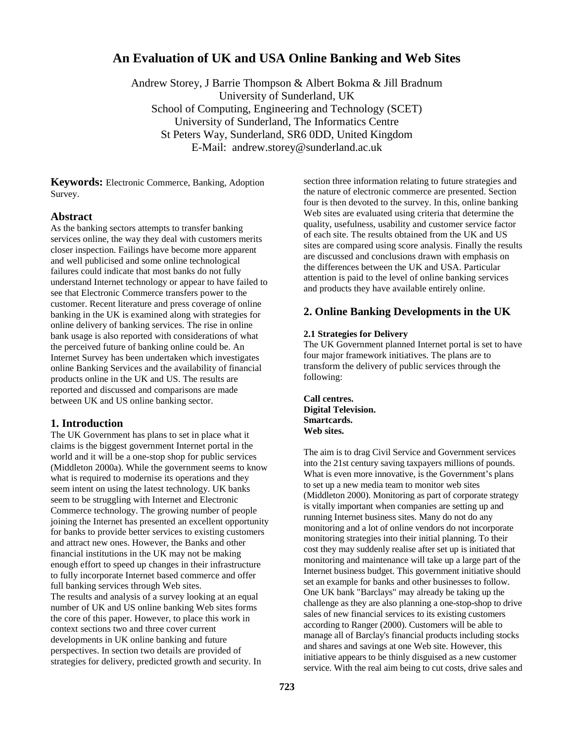# **An Evaluation of UK and USA Online Banking and Web Sites**

Andrew Storey, J Barrie Thompson & Albert Bokma & Jill Bradnum University of Sunderland, UK School of Computing, Engineering and Technology (SCET) University of Sunderland, The Informatics Centre St Peters Way, Sunderland, SR6 0DD, United Kingdom E-Mail: andrew.storey@sunderland.ac.uk

**Keywords:** Electronic Commerce, Banking, Adoption Survey.

#### **Abstract**

As the banking sectors attempts to transfer banking services online, the way they deal with customers merits closer inspection. Failings have become more apparent and well publicised and some online technological failures could indicate that most banks do not fully understand Internet technology or appear to have failed to see that Electronic Commerce transfers power to the customer. Recent literature and press coverage of online banking in the UK is examined along with strategies for online delivery of banking services. The rise in online bank usage is also reported with considerations of what the perceived future of banking online could be. An Internet Survey has been undertaken which investigates online Banking Services and the availability of financial products online in the UK and US. The results are reported and discussed and comparisons are made between UK and US online banking sector.

#### **1. Introduction**

The UK Government has plans to set in place what it claims is the biggest government Internet portal in the world and it will be a one-stop shop for public services (Middleton 2000a). While the government seems to know what is required to modernise its operations and they seem intent on using the latest technology. UK banks seem to be struggling with Internet and Electronic Commerce technology. The growing number of people joining the Internet has presented an excellent opportunity for banks to provide better services to existing customers and attract new ones. However, the Banks and other financial institutions in the UK may not be making enough effort to speed up changes in their infrastructure to fully incorporate Internet based commerce and offer full banking services through Web sites.

The results and analysis of a survey looking at an equal number of UK and US online banking Web sites forms the core of this paper. However, to place this work in context sections two and three cover current developments in UK online banking and future perspectives. In section two details are provided of strategies for delivery, predicted growth and security. In section three information relating to future strategies and the nature of electronic commerce are presented. Section four is then devoted to the survey. In this, online banking Web sites are evaluated using criteria that determine the quality, usefulness, usability and customer service factor of each site. The results obtained from the UK and US sites are compared using score analysis. Finally the results are discussed and conclusions drawn with emphasis on the differences between the UK and USA. Particular attention is paid to the level of online banking services and products they have available entirely online.

#### **2. Online Banking Developments in the UK**

#### **2.1 Strategies for Delivery**

The UK Government planned Internet portal is set to have four major framework initiatives. The plans are to transform the delivery of public services through the following:

**Call centres. Digital Television. Smartcards. Web sites.** 

The aim is to drag Civil Service and Government services into the 21st century saving taxpayers millions of pounds. What is even more innovative, is the Government's plans to set up a new media team to monitor web sites (Middleton 2000). Monitoring as part of corporate strategy is vitally important when companies are setting up and running Internet business sites. Many do not do any monitoring and a lot of online vendors do not incorporate monitoring strategies into their initial planning. To their cost they may suddenly realise after set up is initiated that monitoring and maintenance will take up a large part of the Internet business budget. This government initiative should set an example for banks and other businesses to follow. One UK bank "Barclays" may already be taking up the challenge as they are also planning a one-stop-shop to drive sales of new financial services to its existing customers according to Ranger (2000). Customers will be able to manage all of Barclay's financial products including stocks and shares and savings at one Web site. However, this initiative appears to be thinly disguised as a new customer service. With the real aim being to cut costs, drive sales and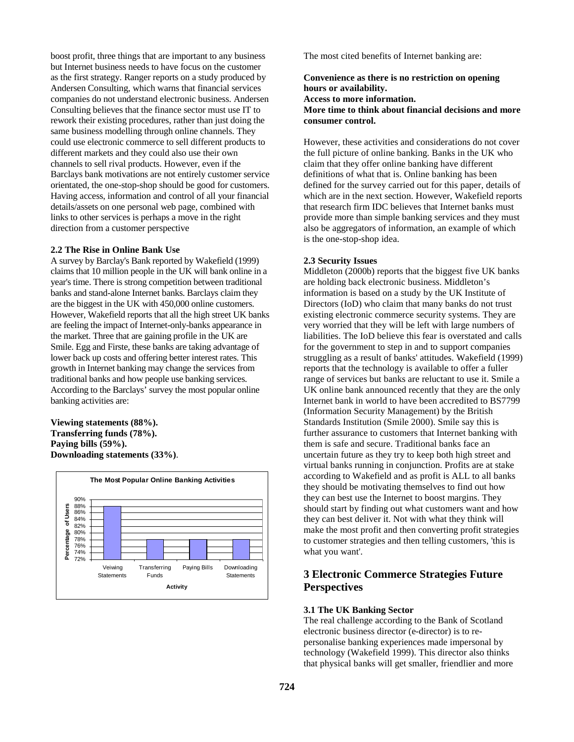boost profit, three things that are important to any business but Internet business needs to have focus on the customer as the first strategy. Ranger reports on a study produced by Andersen Consulting, which warns that financial services companies do not understand electronic business. Andersen Consulting believes that the finance sector must use IT to rework their existing procedures, rather than just doing the same business modelling through online channels. They could use electronic commerce to sell different products to different markets and they could also use their own channels to sell rival products. However, even if the Barclays bank motivations are not entirely customer service orientated, the one-stop-shop should be good for customers. Having access, information and control of all your financial details/assets on one personal web page, combined with links to other services is perhaps a move in the right direction from a customer perspective

#### **2.2 The Rise in Online Bank Use**

A survey by Barclay's Bank reported by Wakefield (1999) claims that 10 million people in the UK will bank online in a year's time. There is strong competition between traditional banks and stand-alone Internet banks. Barclays claim they are the biggest in the UK with 450,000 online customers. However, Wakefield reports that all the high street UK banks are feeling the impact of Internet-only-banks appearance in the market. Three that are gaining profile in the UK are Smile. Egg and Firste, these banks are taking advantage of lower back up costs and offering better interest rates. This growth in Internet banking may change the services from traditional banks and how people use banking services. According to the Barclays' survey the most popular online banking activities are:

**Viewing statements (88%). Transferring funds (78%). Paying bills (59%). Downloading statements (33%)**.



The most cited benefits of Internet banking are:

#### **Convenience as there is no restriction on opening hours or availability. Access to more information. More time to think about financial decisions and more consumer control.**

However, these activities and considerations do not cover the full picture of online banking. Banks in the UK who claim that they offer online banking have different definitions of what that is. Online banking has been defined for the survey carried out for this paper, details of which are in the next section. However, Wakefield reports that research firm IDC believes that Internet banks must provide more than simple banking services and they must also be aggregators of information, an example of which is the one-stop-shop idea.

#### **2.3 Security Issues**

Middleton (2000b) reports that the biggest five UK banks are holding back electronic business. Middleton's information is based on a study by the UK Institute of Directors (IoD) who claim that many banks do not trust existing electronic commerce security systems. They are very worried that they will be left with large numbers of liabilities. The IoD believe this fear is overstated and calls for the government to step in and to support companies struggling as a result of banks' attitudes. Wakefield (1999) reports that the technology is available to offer a fuller range of services but banks are reluctant to use it. Smile a UK online bank announced recently that they are the only Internet bank in world to have been accredited to BS7799 (Information Security Management) by the British Standards Institution (Smile 2000). Smile say this is further assurance to customers that Internet banking with them is safe and secure. Traditional banks face an uncertain future as they try to keep both high street and virtual banks running in conjunction. Profits are at stake according to Wakefield and as profit is ALL to all banks they should be motivating themselves to find out how they can best use the Internet to boost margins. They should start by finding out what customers want and how they can best deliver it. Not with what they think will make the most profit and then converting profit strategies to customer strategies and then telling customers, 'this is what you want'.

## **3 Electronic Commerce Strategies Future Perspectives**

#### **3.1 The UK Banking Sector**

The real challenge according to the Bank of Scotland electronic business director (e-director) is to repersonalise banking experiences made impersonal by technology (Wakefield 1999). This director also thinks that physical banks will get smaller, friendlier and more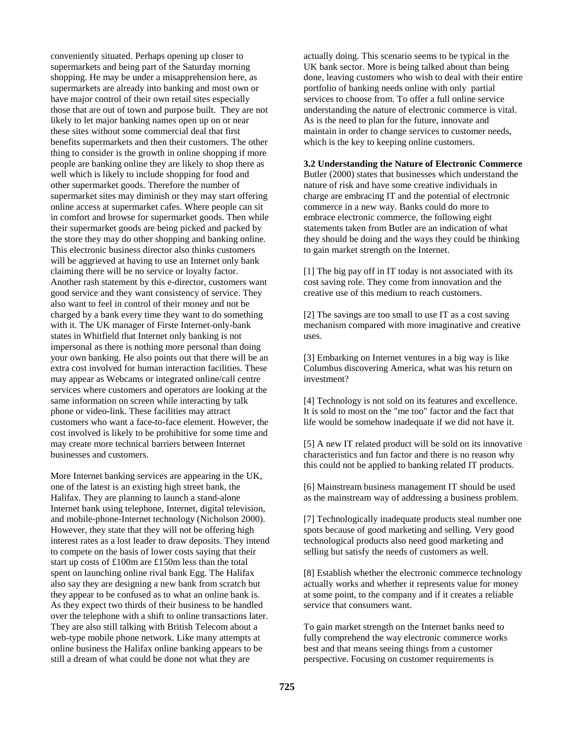conveniently situated. Perhaps opening up closer to supermarkets and being part of the Saturday morning shopping. He may be under a misapprehension here, as supermarkets are already into banking and most own or have major control of their own retail sites especially those that are out of town and purpose built. They are not likely to let major banking names open up on or near these sites without some commercial deal that first benefits supermarkets and then their customers. The other thing to consider is the growth in online shopping if more people are banking online they are likely to shop there as well which is likely to include shopping for food and other supermarket goods. Therefore the number of supermarket sites may diminish or they may start offering online access at supermarket cafes. Where people can sit in comfort and browse for supermarket goods. Then while their supermarket goods are being picked and packed by the store they may do other shopping and banking online. This electronic business director also thinks customers will be aggrieved at having to use an Internet only bank claiming there will be no service or loyalty factor. Another rash statement by this e-director, customers want good service and they want consistency of service. They also want to feel in control of their money and not be charged by a bank every time they want to do something with it. The UK manager of Firste Internet-only-bank states in Whitfield that Internet only banking is not impersonal as there is nothing more personal than doing your own banking. He also points out that there will be an extra cost involved for human interaction facilities. These may appear as Webcams or integrated online/call centre services where customers and operators are looking at the same information on screen while interacting by talk phone or video-link. These facilities may attract customers who want a face-to-face element. However, the cost involved is likely to be prohibitive for some time and may create more technical barriers between Internet businesses and customers.

More Internet banking services are appearing in the UK, one of the latest is an existing high street bank, the Halifax. They are planning to launch a stand-alone Internet bank using telephone, Internet, digital television, and mobile-phone-Internet technology (Nicholson 2000). However, they state that they will not be offering high interest rates as a lost leader to draw deposits. They intend to compete on the basis of lower costs saying that their start up costs of £100m are £150m less than the total spent on launching online rival bank Egg. The Halifax also say they are designing a new bank from scratch but they appear to be confused as to what an online bank is. As they expect two thirds of their business to be handled over the telephone with a shift to online transactions later. They are also still talking with British Telecom about a web-type mobile phone network. Like many attempts at online business the Halifax online banking appears to be still a dream of what could be done not what they are

actually doing. This scenario seems to be typical in the UK bank sector. More is being talked about than being done, leaving customers who wish to deal with their entire portfolio of banking needs online with only partial services to choose from. To offer a full online service understanding the nature of electronic commerce is vital. As is the need to plan for the future, innovate and maintain in order to change services to customer needs, which is the key to keeping online customers.

**3.2 Understanding the Nature of Electronic Commerce** Butler (2000) states that businesses which understand the nature of risk and have some creative individuals in charge are embracing IT and the potential of electronic commerce in a new way. Banks could do more to embrace electronic commerce, the following eight statements taken from Butler are an indication of what they should be doing and the ways they could be thinking to gain market strength on the Internet.

[1] The big pay off in IT today is not associated with its cost saving role. They come from innovation and the creative use of this medium to reach customers.

[2] The savings are too small to use IT as a cost saving mechanism compared with more imaginative and creative uses.

[3] Embarking on Internet ventures in a big way is like Columbus discovering America, what was his return on investment?

[4] Technology is not sold on its features and excellence. It is sold to most on the "me too" factor and the fact that life would be somehow inadequate if we did not have it.

[5] A new IT related product will be sold on its innovative characteristics and fun factor and there is no reason why this could not be applied to banking related IT products.

[6] Mainstream business management IT should be used as the mainstream way of addressing a business problem.

[7] Technologically inadequate products steal number one spots because of good marketing and selling. Very good technological products also need good marketing and selling but satisfy the needs of customers as well.

[8] Establish whether the electronic commerce technology actually works and whether it represents value for money at some point, to the company and if it creates a reliable service that consumers want.

To gain market strength on the Internet banks need to fully comprehend the way electronic commerce works best and that means seeing things from a customer perspective. Focusing on customer requirements is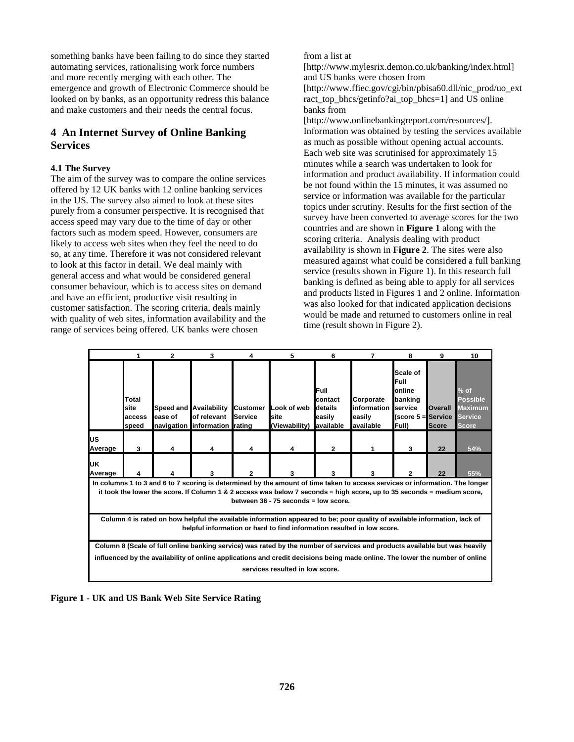something banks have been failing to do since they started automating services, rationalising work force numbers and more recently merging with each other. The emergence and growth of Electronic Commerce should be looked on by banks, as an opportunity redress this balance and make customers and their needs the central focus.

## **4 An Internet Survey of Online Banking Services**

#### **4.1 The Survey**

The aim of the survey was to compare the online services offered by 12 UK banks with 12 online banking services in the US. The survey also aimed to look at these sites purely from a consumer perspective. It is recognised that access speed may vary due to the time of day or other factors such as modem speed. However, consumers are likely to access web sites when they feel the need to do so, at any time. Therefore it was not considered relevant to look at this factor in detail. We deal mainly with general access and what would be considered general consumer behaviour, which is to access sites on demand and have an efficient, productive visit resulting in customer satisfaction. The scoring criteria, deals mainly with quality of web sites, information availability and the range of services being offered. UK banks were chosen

from a list at

[http://www.mylesrix.demon.co.uk/banking/index.html] and US banks were chosen from

[http://www.ffiec.gov/cgi/bin/pbisa60.dll/nic\_prod/uo\_ext ract top bhcs/getinfo?ai\_top\_bhcs=1] and US online banks from

[http://www.onlinebankingreport.com/resources/]. Information was obtained by testing the services available as much as possible without opening actual accounts. Each web site was scrutinised for approximately 15 minutes while a search was undertaken to look for information and product availability. If information could be not found within the 15 minutes, it was assumed no service or information was available for the particular topics under scrutiny. Results for the first section of the survey have been converted to average scores for the two countries and are shown in **Figure 1** along with the scoring criteria. Analysis dealing with product availability is shown in **Figure 2**. The sites were also measured against what could be considered a full banking service (results shown in Figure 1). In this research full banking is defined as being able to apply for all services and products listed in Figures 1 and 2 online. Information was also looked for that indicated application decisions would be made and returned to customers online in real time (result shown in Figure 2).

|                                                                                                                                                                                                                                                                                                |                                  | $\overline{2}$ | 3                                                                      | 4                          | 5                                              | 6                                    | 7                                                | 8                                                                                                  | 9                       | 10                                                                            |  |
|------------------------------------------------------------------------------------------------------------------------------------------------------------------------------------------------------------------------------------------------------------------------------------------------|----------------------------------|----------------|------------------------------------------------------------------------|----------------------------|------------------------------------------------|--------------------------------------|--------------------------------------------------|----------------------------------------------------------------------------------------------------|-------------------------|-------------------------------------------------------------------------------|--|
|                                                                                                                                                                                                                                                                                                | Total<br>site<br>access<br>speed | ease of        | Speed and Availability<br>of relevant<br>navigation information rating | <b>Customer</b><br>Service | Look of web<br>site<br>(Viewability) available | Full<br>contact<br>details<br>easily | Corporate<br>information<br>easily<br>lavailable | Scale of<br>Full<br>lonline<br>banking<br>service<br>$(\text{score } 5 = \text{Service})$<br>Full) | Overall<br><b>Score</b> | $%$ of<br><b>Possible</b><br><b>Maximum</b><br><b>Service</b><br><b>Score</b> |  |
| US<br>Average                                                                                                                                                                                                                                                                                  | 3                                |                |                                                                        |                            |                                                | $\mathbf{2}$                         |                                                  | 3                                                                                                  | 22                      | 54%                                                                           |  |
| UK<br>Average                                                                                                                                                                                                                                                                                  |                                  |                |                                                                        |                            | 3                                              | 3                                    | 3                                                |                                                                                                    | 22                      | 55%                                                                           |  |
| In columns 1 to 3 and 6 to 7 scoring is determined by the amount of time taken to access services or information. The longer<br>it took the lower the score. If Column 1 & 2 access was below 7 seconds = high score, up to 35 seconds = medium score,<br>between 36 - 75 seconds = low score. |                                  |                |                                                                        |                            |                                                |                                      |                                                  |                                                                                                    |                         |                                                                               |  |
| Column 4 is rated on how helpful the available information appeared to be; poor quality of available information, lack of<br>helpful information or hard to find information resulted in low score.                                                                                            |                                  |                |                                                                        |                            |                                                |                                      |                                                  |                                                                                                    |                         |                                                                               |  |
| Column 8 (Scale of full online banking service) was rated by the number of services and products available but was heavily                                                                                                                                                                     |                                  |                |                                                                        |                            |                                                |                                      |                                                  |                                                                                                    |                         |                                                                               |  |
| influenced by the availability of online applications and credit decisions being made online. The lower the number of online                                                                                                                                                                   |                                  |                |                                                                        |                            |                                                |                                      |                                                  |                                                                                                    |                         |                                                                               |  |
| services resulted in low score.                                                                                                                                                                                                                                                                |                                  |                |                                                                        |                            |                                                |                                      |                                                  |                                                                                                    |                         |                                                                               |  |

**Figure 1 - UK and US Bank Web Site Service Rating**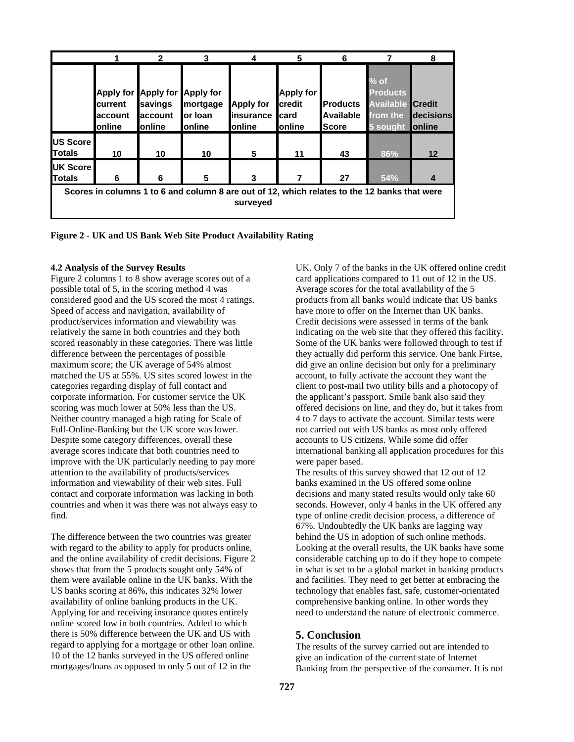|                                                                                                          |                                        | 2                                                                     | 3                                       |                                                         | 5                                                    | 6                                            |                                                                              | 8                           |  |  |
|----------------------------------------------------------------------------------------------------------|----------------------------------------|-----------------------------------------------------------------------|-----------------------------------------|---------------------------------------------------------|------------------------------------------------------|----------------------------------------------|------------------------------------------------------------------------------|-----------------------------|--|--|
|                                                                                                          | <b>lcurrent</b><br>laccount<br>lonline | Apply for Apply for Apply for<br>savings<br>account<br><b>lonline</b> | mortgage<br>lor Ioan<br><b>I</b> online | <b>Apply for</b><br><b>linsurance</b><br><b>lonline</b> | <b>Apply for</b><br>credit<br>Icard<br><b>online</b> | <b>Products</b><br>Available<br><b>Score</b> | $%$ of<br><b>Products</b><br><b>Available Credit</b><br>from the<br>5 sought | decisions<br><b>lonline</b> |  |  |
| US Score<br><b>Totals</b>                                                                                | 10                                     | 10                                                                    | 10                                      | 5                                                       | 11                                                   | 43                                           | 86%                                                                          | 12                          |  |  |
| <b>IUK Score</b><br><b>Totals</b>                                                                        | 6                                      | 6                                                                     | 5                                       | 3                                                       |                                                      | 27                                           | 54%                                                                          |                             |  |  |
| Scores in columns 1 to 6 and column 8 are out of 12, which relates to the 12 banks that were<br>surveved |                                        |                                                                       |                                         |                                                         |                                                      |                                              |                                                                              |                             |  |  |



#### **4.2 Analysis of the Survey Results**

Figure 2 columns 1 to 8 show average scores out of a possible total of 5, in the scoring method 4 was considered good and the US scored the most 4 ratings. Speed of access and navigation, availability of product/services information and viewability was relatively the same in both countries and they both scored reasonably in these categories. There was little difference between the percentages of possible maximum score; the UK average of 54% almost matched the US at 55%. US sites scored lowest in the categories regarding display of full contact and corporate information. For customer service the UK scoring was much lower at 50% less than the US. Neither country managed a high rating for Scale of Full-Online-Banking but the UK score was lower. Despite some category differences, overall these average scores indicate that both countries need to improve with the UK particularly needing to pay more attention to the availability of products/services information and viewability of their web sites. Full contact and corporate information was lacking in both countries and when it was there was not always easy to find.

The difference between the two countries was greater with regard to the ability to apply for products online, and the online availability of credit decisions. Figure 2 shows that from the 5 products sought only 54% of them were available online in the UK banks. With the US banks scoring at 86%, this indicates 32% lower availability of online banking products in the UK. Applying for and receiving insurance quotes entirely online scored low in both countries. Added to which there is 50% difference between the UK and US with regard to applying for a mortgage or other loan online. 10 of the 12 banks surveyed in the US offered online mortgages/loans as opposed to only 5 out of 12 in the

UK. Only 7 of the banks in the UK offered online credit card applications compared to 11 out of 12 in the US. Average scores for the total availability of the 5 products from all banks would indicate that US banks have more to offer on the Internet than UK banks. Credit decisions were assessed in terms of the bank indicating on the web site that they offered this facility. Some of the UK banks were followed through to test if they actually did perform this service. One bank Firtse, did give an online decision but only for a preliminary account, to fully activate the account they want the client to post-mail two utility bills and a photocopy of the applicant's passport. Smile bank also said they offered decisions on line, and they do, but it takes from 4 to 7 days to activate the account. Similar tests were not carried out with US banks as most only offered accounts to US citizens. While some did offer international banking all application procedures for this were paper based.

The results of this survey showed that 12 out of 12 banks examined in the US offered some online decisions and many stated results would only take 60 seconds. However, only 4 banks in the UK offered any type of online credit decision process, a difference of 67%. Undoubtedly the UK banks are lagging way behind the US in adoption of such online methods. Looking at the overall results, the UK banks have some considerable catching up to do if they hope to compete in what is set to be a global market in banking products and facilities. They need to get better at embracing the technology that enables fast, safe, customer-orientated comprehensive banking online. In other words they need to understand the nature of electronic commerce.

## **5. Conclusion**

The results of the survey carried out are intended to give an indication of the current state of Internet Banking from the perspective of the consumer. It is not